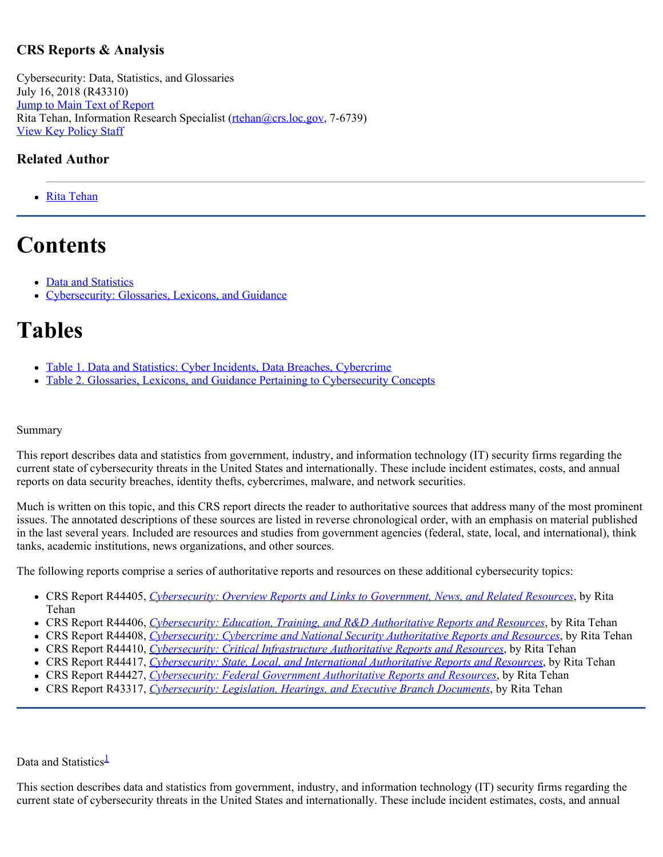### **CRS Reports & Analysis**

Cybersecurity: Data, Statistics, and Glossaries July 16, 2018 (R43310) [Jump to Main Text of Report](http://www.crs.gov/Reports/R43310?source=RRLanding#Content) Rita Tehan, Information Research Specialist [\(rtehan@crs.loc.gov](mailto:rtehan@crs.loc.gov), 7-6739) [View Key Policy Staff](http://www.crs.gov/Reports/R43310?source=RRLanding#acknowledgments)

#### **Related Author**

• [Rita Tehan](http://www.crs.gov/Author/index?id=3643)

# **Contents**

- [Data and Statistics](http://www.crs.gov/Reports/R43310?source=RRLanding#_Toc519691142)
- [Cybersecurity: Glossaries, Lexicons, and Guidance](http://www.crs.gov/Reports/R43310?source=RRLanding#_Toc519691143)

## **Tables**

- [Table 1. Data and Statistics: Cyber Incidents, Data Breaches, Cybercrime](http://www.crs.gov/Reports/R43310?source=RRLanding#_Toc519691138)
- [Table 2. Glossaries, Lexicons, and Guidance Pertaining to Cybersecurity Concepts](http://www.crs.gov/Reports/R43310?source=RRLanding#_Toc519691139)

#### Summary

This report describes data and statistics from government, industry, and information technology (IT) security firms regarding the current state of cybersecurity threats in the United States and internationally. These include incident estimates, costs, and annual reports on data security breaches, identity thefts, cybercrimes, malware, and network securities.

Much is written on this topic, and this CRS report directs the reader to authoritative sources that address many of the most prominent issues. The annotated descriptions of these sources are listed in reverse chronological order, with an emphasis on material published in the last several years. Included are resources and studies from government agencies (federal, state, local, and international), think tanks, academic institutions, news organizations, and other sources.

The following reports comprise a series of authoritative reports and resources on these additional cybersecurity topics:

- CRS Report R44405, *[Cybersecurity: Overview Reports and Links to Government, News, and Related Resources](https://fas.org/sgp/crs/misc/R44405.pdf)*, by Rita Tehan
- CRS Report R44406, *[Cybersecurity: Education, Training, and R&D Authoritative Reports and Resources](https://fas.org/sgp/crs/misc/R44406.pdf)*, by Rita Tehan
- CRS Report R44408, *[Cybersecurity: Cybercrime and National Security Authoritative Reports and Resources](http://www.crs.gov/Reports/R44408)*, by Rita Tehan
- CRS Report R44410, *[Cybersecurity: Critical Infrastructure Authoritative Reports and Resources](https://fas.org/sgp/crs/misc/R44410.pdf)*, by Rita Tehan
- CRS Report R44417, *[Cybersecurity: State, Local, and International Authoritative Reports and Resources](http://www.crs.gov/Reports/R44417)*, by Rita Tehan
- CRS Report R44427, *[Cybersecurity: Federal Government Authoritative Reports and Resources](http://www.crs.gov/Reports/R44427)*, by Rita Tehan
- CRS Report R43317, *[Cybersecurity: Legislation, Hearings, and Executive Branch Documents](https://fas.org/sgp/crs/misc/R43317.pdf)*, by Rita Tehan

Data and Statistics<sup>1</sup>

This section describes data and statistics from government, industry, and information technology (IT) security firms regarding the current state of cybersecurity threats in the United States and internationally. These include incident estimates, costs, and annual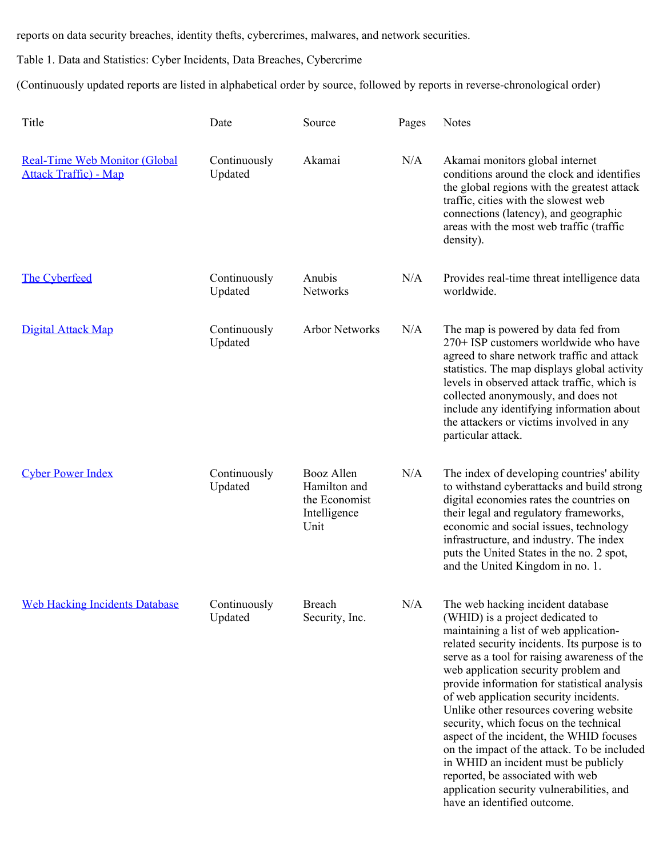reports on data security breaches, identity thefts, cybercrimes, malwares, and network securities.

Table 1. Data and Statistics: Cyber Incidents, Data Breaches, Cybercrime

(Continuously updated reports are listed in alphabetical order by source, followed by reports in reverse-chronological order)

| Title                                                                 | Date                    | Source                                                              | Pages | Notes                                                                                                                                                                                                                                                                                                                                                                                                                                                                                                                                                                                                                                                                                      |
|-----------------------------------------------------------------------|-------------------------|---------------------------------------------------------------------|-------|--------------------------------------------------------------------------------------------------------------------------------------------------------------------------------------------------------------------------------------------------------------------------------------------------------------------------------------------------------------------------------------------------------------------------------------------------------------------------------------------------------------------------------------------------------------------------------------------------------------------------------------------------------------------------------------------|
| <b>Real-Time Web Monitor (Global</b><br><b>Attack Traffic</b> ) - Map | Continuously<br>Updated | Akamai                                                              | N/A   | Akamai monitors global internet<br>conditions around the clock and identifies<br>the global regions with the greatest attack<br>traffic, cities with the slowest web<br>connections (latency), and geographic<br>areas with the most web traffic (traffic<br>density).                                                                                                                                                                                                                                                                                                                                                                                                                     |
| The Cyberfeed                                                         | Continuously<br>Updated | Anubis<br>Networks                                                  | N/A   | Provides real-time threat intelligence data<br>worldwide.                                                                                                                                                                                                                                                                                                                                                                                                                                                                                                                                                                                                                                  |
| Digital Attack Map                                                    | Continuously<br>Updated | <b>Arbor Networks</b>                                               | N/A   | The map is powered by data fed from<br>270+ ISP customers worldwide who have<br>agreed to share network traffic and attack<br>statistics. The map displays global activity<br>levels in observed attack traffic, which is<br>collected anonymously, and does not<br>include any identifying information about<br>the attackers or victims involved in any<br>particular attack.                                                                                                                                                                                                                                                                                                            |
| <b>Cyber Power Index</b>                                              | Continuously<br>Updated | Booz Allen<br>Hamilton and<br>the Economist<br>Intelligence<br>Unit | N/A   | The index of developing countries' ability<br>to withstand cyberattacks and build strong<br>digital economies rates the countries on<br>their legal and regulatory frameworks,<br>economic and social issues, technology<br>infrastructure, and industry. The index<br>puts the United States in the no. 2 spot,<br>and the United Kingdom in no. 1.                                                                                                                                                                                                                                                                                                                                       |
| <b>Web Hacking Incidents Database</b>                                 | Continuously<br>Updated | Breach<br>Security, Inc.                                            | N/A   | The web hacking incident database<br>(WHID) is a project dedicated to<br>maintaining a list of web application-<br>related security incidents. Its purpose is to<br>serve as a tool for raising awareness of the<br>web application security problem and<br>provide information for statistical analysis<br>of web application security incidents.<br>Unlike other resources covering website<br>security, which focus on the technical<br>aspect of the incident, the WHID focuses<br>on the impact of the attack. To be included<br>in WHID an incident must be publicly<br>reported, be associated with web<br>application security vulnerabilities, and<br>have an identified outcome. |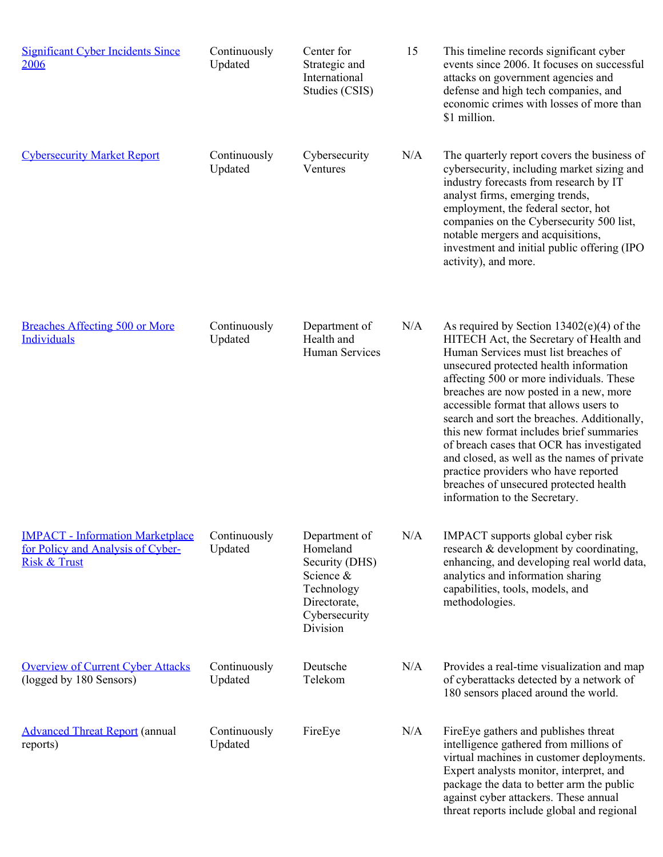| <b>Significant Cyber Incidents Since</b><br>2006                                                        | Continuously<br>Updated | Center for<br>Strategic and<br>International<br>Studies (CSIS)                                                      | 15  | This timeline records significant cyber<br>events since 2006. It focuses on successful<br>attacks on government agencies and<br>defense and high tech companies, and<br>economic crimes with losses of more than<br>\$1 million.                                                                                                                                                                                                                                                                                                                                                                                   |
|---------------------------------------------------------------------------------------------------------|-------------------------|---------------------------------------------------------------------------------------------------------------------|-----|--------------------------------------------------------------------------------------------------------------------------------------------------------------------------------------------------------------------------------------------------------------------------------------------------------------------------------------------------------------------------------------------------------------------------------------------------------------------------------------------------------------------------------------------------------------------------------------------------------------------|
| <b>Cybersecurity Market Report</b>                                                                      | Continuously<br>Updated | Cybersecurity<br>Ventures                                                                                           | N/A | The quarterly report covers the business of<br>cybersecurity, including market sizing and<br>industry forecasts from research by IT<br>analyst firms, emerging trends,<br>employment, the federal sector, hot<br>companies on the Cybersecurity 500 list,<br>notable mergers and acquisitions,<br>investment and initial public offering (IPO)<br>activity), and more.                                                                                                                                                                                                                                             |
| <b>Breaches Affecting 500 or More</b><br>Individuals                                                    | Continuously<br>Updated | Department of<br>Health and<br>Human Services                                                                       | N/A | As required by Section $13402(e)(4)$ of the<br>HITECH Act, the Secretary of Health and<br>Human Services must list breaches of<br>unsecured protected health information<br>affecting 500 or more individuals. These<br>breaches are now posted in a new, more<br>accessible format that allows users to<br>search and sort the breaches. Additionally,<br>this new format includes brief summaries<br>of breach cases that OCR has investigated<br>and closed, as well as the names of private<br>practice providers who have reported<br>breaches of unsecured protected health<br>information to the Secretary. |
| <b>IMPACT</b> - Information Marketplace<br>for Policy and Analysis of Cyber-<br><b>Risk &amp; Trust</b> | Continuously<br>Updated | Department of<br>Homeland<br>Security (DHS)<br>Science &<br>Technology<br>Directorate,<br>Cybersecurity<br>Division | N/A | IMPACT supports global cyber risk<br>research & development by coordinating,<br>enhancing, and developing real world data,<br>analytics and information sharing<br>capabilities, tools, models, and<br>methodologies.                                                                                                                                                                                                                                                                                                                                                                                              |
| <b>Overview of Current Cyber Attacks</b><br>(logged by 180 Sensors)                                     | Continuously<br>Updated | Deutsche<br>Telekom                                                                                                 | N/A | Provides a real-time visualization and map<br>of cyberattacks detected by a network of<br>180 sensors placed around the world.                                                                                                                                                                                                                                                                                                                                                                                                                                                                                     |
| <b>Advanced Threat Report (annual</b><br>reports)                                                       | Continuously<br>Updated | FireEye                                                                                                             | N/A | FireEye gathers and publishes threat<br>intelligence gathered from millions of<br>virtual machines in customer deployments.<br>Expert analysts monitor, interpret, and<br>package the data to better arm the public<br>against cyber attackers. These annual<br>threat reports include global and regional                                                                                                                                                                                                                                                                                                         |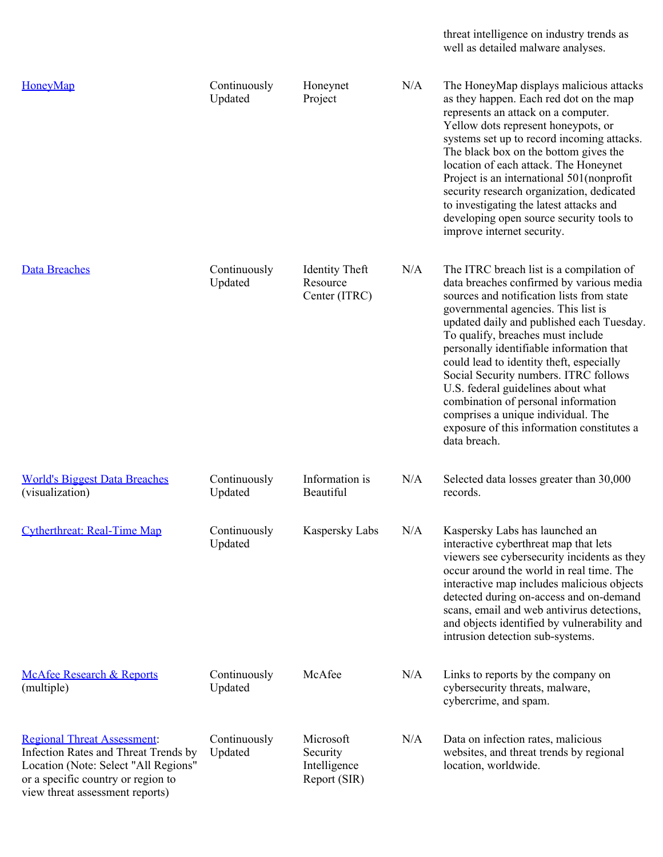threat intelligence on industry trends as well as detailed malware analyses.

| HoneyMap                                                                                                                                                                                    | Continuously<br>Updated | Honeynet<br>Project                                   | N/A | The HoneyMap displays malicious attacks<br>as they happen. Each red dot on the map<br>represents an attack on a computer.<br>Yellow dots represent honeypots, or<br>systems set up to record incoming attacks.<br>The black box on the bottom gives the<br>location of each attack. The Honeynet<br>Project is an international 501 (nonprofit)<br>security research organization, dedicated<br>to investigating the latest attacks and<br>developing open source security tools to<br>improve internet security.                                                            |
|---------------------------------------------------------------------------------------------------------------------------------------------------------------------------------------------|-------------------------|-------------------------------------------------------|-----|------------------------------------------------------------------------------------------------------------------------------------------------------------------------------------------------------------------------------------------------------------------------------------------------------------------------------------------------------------------------------------------------------------------------------------------------------------------------------------------------------------------------------------------------------------------------------|
| <b>Data Breaches</b>                                                                                                                                                                        | Continuously<br>Updated | <b>Identity Theft</b><br>Resource<br>Center (ITRC)    | N/A | The ITRC breach list is a compilation of<br>data breaches confirmed by various media<br>sources and notification lists from state<br>governmental agencies. This list is<br>updated daily and published each Tuesday.<br>To qualify, breaches must include<br>personally identifiable information that<br>could lead to identity theft, especially<br>Social Security numbers. ITRC follows<br>U.S. federal guidelines about what<br>combination of personal information<br>comprises a unique individual. The<br>exposure of this information constitutes a<br>data breach. |
| <b>World's Biggest Data Breaches</b><br>(visualization)                                                                                                                                     | Continuously<br>Updated | Information is<br>Beautiful                           | N/A | Selected data losses greater than 30,000<br>records.                                                                                                                                                                                                                                                                                                                                                                                                                                                                                                                         |
| <b>Cytherthreat: Real-Time Map</b>                                                                                                                                                          | Continuously<br>Updated | Kaspersky Labs                                        | N/A | Kaspersky Labs has launched an<br>interactive cyberthreat map that lets<br>viewers see cybersecurity incidents as they<br>occur around the world in real time. The<br>interactive map includes malicious objects<br>detected during on-access and on-demand<br>scans, email and web antivirus detections,<br>and objects identified by vulnerability and<br>intrusion detection sub-systems.                                                                                                                                                                                 |
| <b>McAfee Research &amp; Reports</b><br>(multiple)                                                                                                                                          | Continuously<br>Updated | McAfee                                                | N/A | Links to reports by the company on<br>cybersecurity threats, malware,<br>cybercrime, and spam.                                                                                                                                                                                                                                                                                                                                                                                                                                                                               |
| <b>Regional Threat Assessment:</b><br>Infection Rates and Threat Trends by<br>Location (Note: Select "All Regions"<br>or a specific country or region to<br>view threat assessment reports) | Continuously<br>Updated | Microsoft<br>Security<br>Intelligence<br>Report (SIR) | N/A | Data on infection rates, malicious<br>websites, and threat trends by regional<br>location, worldwide.                                                                                                                                                                                                                                                                                                                                                                                                                                                                        |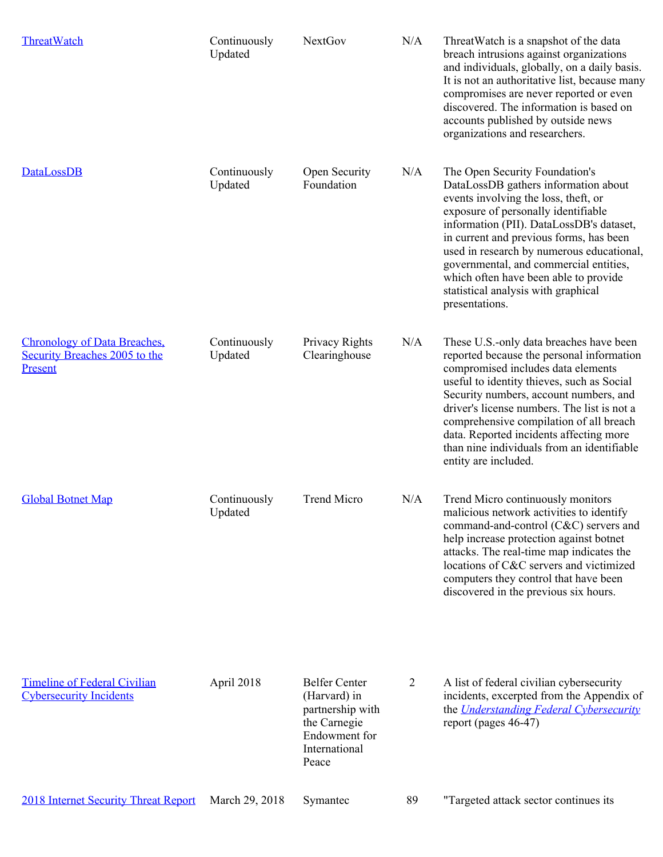| <b>ThreatWatch</b>                                                              | Continuously<br>Updated | <b>NextGov</b>                                                                                                      | N/A | Threat Watch is a snapshot of the data<br>breach intrusions against organizations<br>and individuals, globally, on a daily basis.<br>It is not an authoritative list, because many<br>compromises are never reported or even<br>discovered. The information is based on<br>accounts published by outside news<br>organizations and researchers.                                                                                       |
|---------------------------------------------------------------------------------|-------------------------|---------------------------------------------------------------------------------------------------------------------|-----|---------------------------------------------------------------------------------------------------------------------------------------------------------------------------------------------------------------------------------------------------------------------------------------------------------------------------------------------------------------------------------------------------------------------------------------|
| <b>DataLossDB</b>                                                               | Continuously<br>Updated | Open Security<br>Foundation                                                                                         | N/A | The Open Security Foundation's<br>DataLossDB gathers information about<br>events involving the loss, theft, or<br>exposure of personally identifiable<br>information (PII). DataLossDB's dataset,<br>in current and previous forms, has been<br>used in research by numerous educational,<br>governmental, and commercial entities,<br>which often have been able to provide<br>statistical analysis with graphical<br>presentations. |
| <b>Chronology of Data Breaches,</b><br>Security Breaches 2005 to the<br>Present | Continuously<br>Updated | Privacy Rights<br>Clearinghouse                                                                                     | N/A | These U.S.-only data breaches have been<br>reported because the personal information<br>compromised includes data elements<br>useful to identity thieves, such as Social<br>Security numbers, account numbers, and<br>driver's license numbers. The list is not a<br>comprehensive compilation of all breach<br>data. Reported incidents affecting more<br>than nine individuals from an identifiable<br>entity are included.         |
| <b>Global Botnet Map</b>                                                        | Continuously<br>Updated | <b>Trend Micro</b>                                                                                                  | N/A | Trend Micro continuously monitors<br>malicious network activities to identify<br>command-and-control (C&C) servers and<br>help increase protection against botnet<br>attacks. The real-time map indicates the<br>locations of C&C servers and victimized<br>computers they control that have been<br>discovered in the previous six hours.                                                                                            |
| <b>Timeline of Federal Civilian</b><br><b>Cybersecurity Incidents</b>           | April 2018              | <b>Belfer Center</b><br>(Harvard) in<br>partnership with<br>the Carnegie<br>Endowment for<br>International<br>Peace | 2   | A list of federal civilian cybersecurity<br>incidents, excerpted from the Appendix of<br>the <i>Understanding Federal Cybersecurity</i><br>report (pages 46-47)                                                                                                                                                                                                                                                                       |
| <b>2018 Internet Security Threat Report</b>                                     | March 29, 2018          | Symantec                                                                                                            | 89  | "Targeted attack sector continues its                                                                                                                                                                                                                                                                                                                                                                                                 |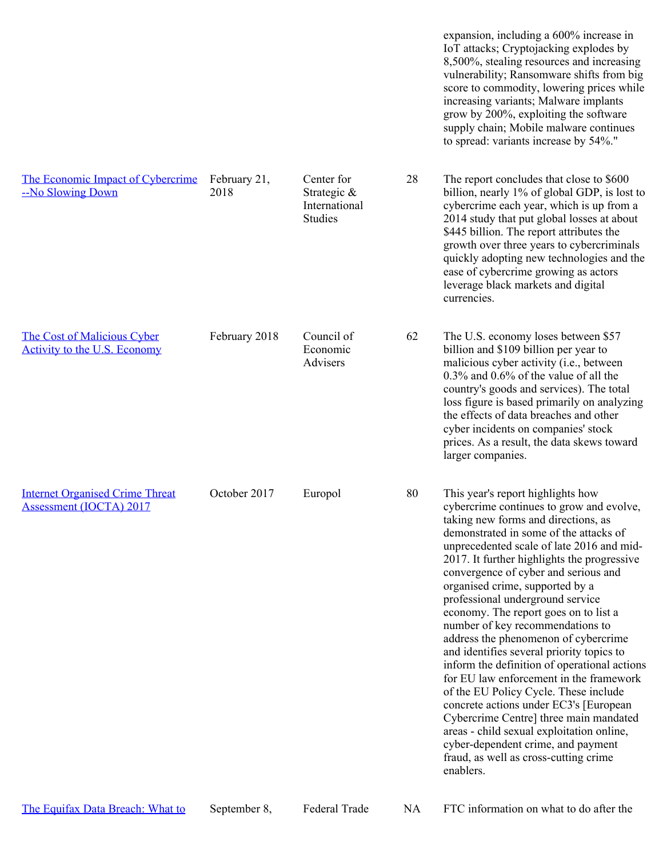expansion, including a 600% increase in IoT attacks; Cryptojacking explodes by 8,500%, stealing resources and increasing vulnerability; Ransomware shifts from big score to commodity, lowering prices while increasing variants; Malware implants grow by 200%, exploiting the software supply chain; Mobile malware continues to spread: variants increase by 54%."

[The Economic Impact of Cybercrime](https://www.csis.org/analysis/economic-impact-cybercrime) [--No Slowing Down](https://www.csis.org/analysis/economic-impact-cybercrime) February 21, 2018 Center for Strategic & International **Studies** 28 The report concludes that close to \$600 billion, nearly 1% of global GDP, is lost to cybercrime each year, which is up from a 2014 study that put global losses at about \$445 billion. The report attributes the growth over three years to cybercriminals quickly adopting new technologies and the ease of cybercrime growing as actors leverage black markets and digital currencies.

February 2018 Council of

Economic Advisers

62 The U.S. economy loses between \$57 billion and \$109 billion per year to malicious cyber activity (i.e., between 0.3% and 0.6% of the value of all the country's goods and services). The total loss figure is based primarily on analyzing the effects of data breaches and other cyber incidents on companies' stock prices. As a result, the data skews toward larger companies.

October 2017 Europol 80 This year's report highlights how cybercrime continues to grow and evolve, taking new forms and directions, as demonstrated in some of the attacks of unprecedented scale of late 2016 and mid-2017. It further highlights the progressive convergence of cyber and serious and organised crime, supported by a professional underground service economy. The report goes on to list a number of key recommendations to address the phenomenon of cybercrime and identifies several priority topics to inform the definition of operational actions for EU law enforcement in the framework of the EU Policy Cycle. These include concrete actions under EC3's [European Cybercrime Centre] three main mandated areas - child sexual exploitation online, cyber-dependent crime, and payment fraud, as well as cross-cutting crime enablers.

[The Cost of Malicious Cyber](https://www.whitehouse.gov/wp-content/uploads/2018/02/The-Cost-of-Malicious-Cyber-Activity-to-the-U.S.-Economy.pdf) [Activity to the U.S. Economy](https://www.whitehouse.gov/wp-content/uploads/2018/02/The-Cost-of-Malicious-Cyber-Activity-to-the-U.S.-Economy.pdf)

[Internet Organised Crime Threat](https://www.europol.europa.eu/sites/default/files/documents/iocta2017.pdf) [Assessment \(IOCTA\) 2017](https://www.europol.europa.eu/sites/default/files/documents/iocta2017.pdf)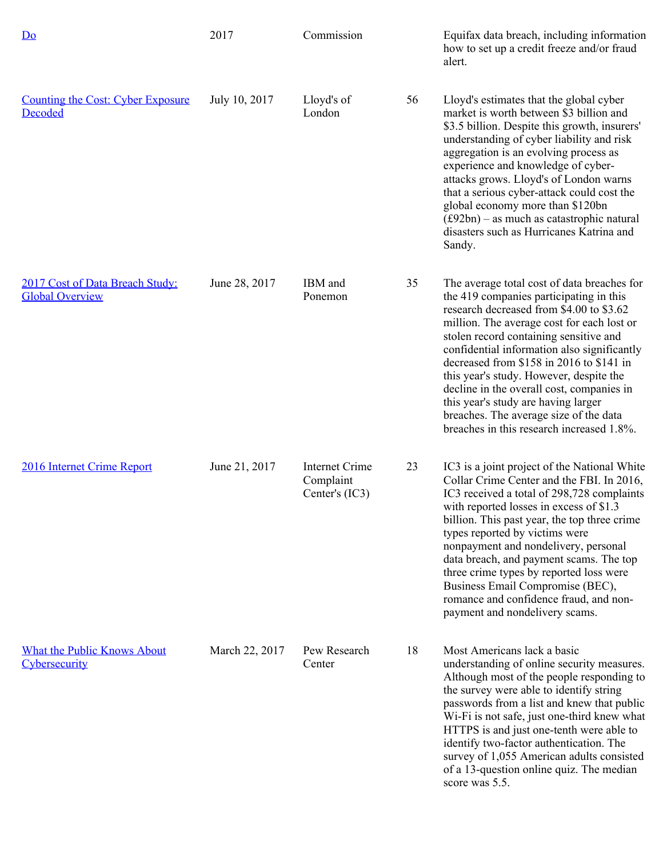| Do                                                        | 2017           | Commission                                           |    | Equifax data breach, including information<br>how to set up a credit freeze and/or fraud<br>alert.                                                                                                                                                                                                                                                                                                                                                                                                                                          |
|-----------------------------------------------------------|----------------|------------------------------------------------------|----|---------------------------------------------------------------------------------------------------------------------------------------------------------------------------------------------------------------------------------------------------------------------------------------------------------------------------------------------------------------------------------------------------------------------------------------------------------------------------------------------------------------------------------------------|
| <b>Counting the Cost: Cyber Exposure</b><br>Decoded       | July 10, 2017  | Lloyd's of<br>London                                 | 56 | Lloyd's estimates that the global cyber<br>market is worth between \$3 billion and<br>\$3.5 billion. Despite this growth, insurers'<br>understanding of cyber liability and risk<br>aggregation is an evolving process as<br>experience and knowledge of cyber-<br>attacks grows. Lloyd's of London warns<br>that a serious cyber-attack could cost the<br>global economy more than \$120bn<br>$(f92bn)$ – as much as catastrophic natural<br>disasters such as Hurricanes Katrina and<br>Sandy.                                            |
| 2017 Cost of Data Breach Study:<br><b>Global Overview</b> | June 28, 2017  | IBM and<br>Ponemon                                   | 35 | The average total cost of data breaches for<br>the 419 companies participating in this<br>research decreased from \$4.00 to \$3.62<br>million. The average cost for each lost or<br>stolen record containing sensitive and<br>confidential information also significantly<br>decreased from \$158 in 2016 to \$141 in<br>this year's study. However, despite the<br>decline in the overall cost, companies in<br>this year's study are having larger<br>breaches. The average size of the data<br>breaches in this research increased 1.8%. |
| 2016 Internet Crime Report                                | June 21, 2017  | <b>Internet Crime</b><br>Complaint<br>Center's (IC3) | 23 | IC3 is a joint project of the National White<br>Collar Crime Center and the FBI. In 2016,<br>IC3 received a total of 298,728 complaints<br>with reported losses in excess of \$1.3<br>billion. This past year, the top three crime<br>types reported by victims were<br>nonpayment and nondelivery, personal<br>data breach, and payment scams. The top<br>three crime types by reported loss were<br>Business Email Compromise (BEC),<br>romance and confidence fraud, and non-<br>payment and nondelivery scams.                          |
| <b>What the Public Knows About</b><br>Cybersecurity       | March 22, 2017 | Pew Research<br>Center                               | 18 | Most Americans lack a basic<br>understanding of online security measures.<br>Although most of the people responding to<br>the survey were able to identify string<br>passwords from a list and knew that public<br>Wi-Fi is not safe, just one-third knew what<br>HTTPS is and just one-tenth were able to<br>identify two-factor authentication. The<br>survey of 1,055 American adults consisted<br>of a 13-question online quiz. The median<br>score was 5.5.                                                                            |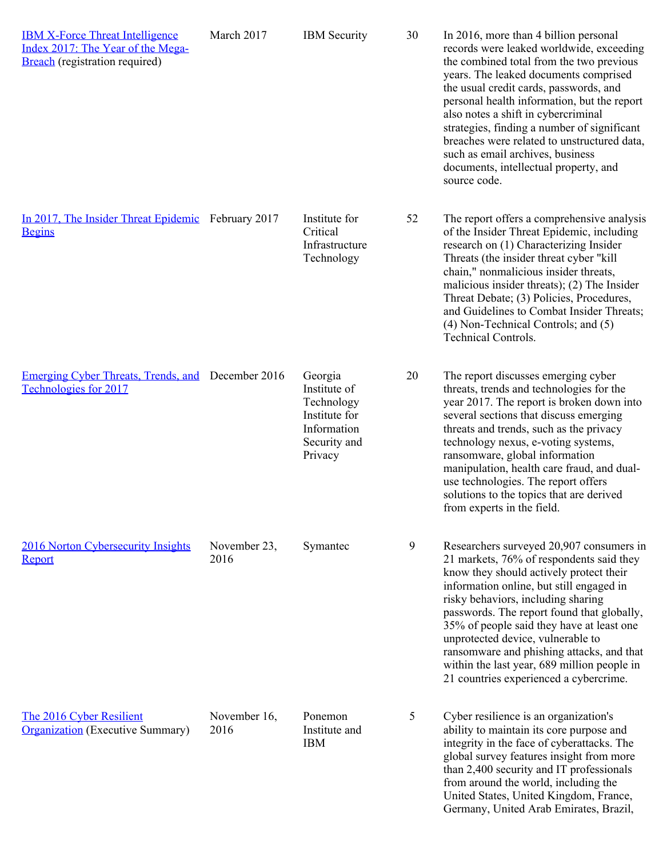| <b>IBM X-Force Threat Intelligence</b><br>Index 2017: The Year of the Mega-<br><b>Breach</b> (registration required) | March 2017           | <b>IBM</b> Security                                                                              | 30 | In 2016, more than 4 billion personal<br>records were leaked worldwide, exceeding<br>the combined total from the two previous<br>years. The leaked documents comprised<br>the usual credit cards, passwords, and<br>personal health information, but the report<br>also notes a shift in cybercriminal<br>strategies, finding a number of significant<br>breaches were related to unstructured data,<br>such as email archives, business<br>documents, intellectual property, and<br>source code. |
|----------------------------------------------------------------------------------------------------------------------|----------------------|--------------------------------------------------------------------------------------------------|----|---------------------------------------------------------------------------------------------------------------------------------------------------------------------------------------------------------------------------------------------------------------------------------------------------------------------------------------------------------------------------------------------------------------------------------------------------------------------------------------------------|
| In 2017, The Insider Threat Epidemic February 2017<br><b>Begins</b>                                                  |                      | Institute for<br>Critical<br>Infrastructure<br>Technology                                        | 52 | The report offers a comprehensive analysis<br>of the Insider Threat Epidemic, including<br>research on (1) Characterizing Insider<br>Threats (the insider threat cyber "kill<br>chain," nonmalicious insider threats,<br>malicious insider threats); (2) The Insider<br>Threat Debate; (3) Policies, Procedures,<br>and Guidelines to Combat Insider Threats;<br>(4) Non-Technical Controls; and (5)<br><b>Technical Controls.</b>                                                                |
| Emerging Cyber Threats, Trends, and December 2016<br>Technologies for 2017                                           |                      | Georgia<br>Institute of<br>Technology<br>Institute for<br>Information<br>Security and<br>Privacy | 20 | The report discusses emerging cyber<br>threats, trends and technologies for the<br>year 2017. The report is broken down into<br>several sections that discuss emerging<br>threats and trends, such as the privacy<br>technology nexus, e-voting systems,<br>ransomware, global information<br>manipulation, health care fraud, and dual-<br>use technologies. The report offers<br>solutions to the topics that are derived<br>from experts in the field.                                         |
| 2016 Norton Cybersecurity Insights<br>Report                                                                         | November 23,<br>2016 | Symantec                                                                                         | 9  | Researchers surveyed 20,907 consumers in<br>21 markets, 76% of respondents said they<br>know they should actively protect their<br>information online, but still engaged in<br>risky behaviors, including sharing<br>passwords. The report found that globally,<br>35% of people said they have at least one<br>unprotected device, vulnerable to<br>ransomware and phishing attacks, and that<br>within the last year, 689 million people in<br>21 countries experienced a cybercrime.           |
| The 2016 Cyber Resilient<br><b>Organization</b> (Executive Summary)                                                  | November 16,<br>2016 | Ponemon<br>Institute and<br><b>IBM</b>                                                           | 5  | Cyber resilience is an organization's<br>ability to maintain its core purpose and<br>integrity in the face of cyberattacks. The<br>global survey features insight from more<br>than 2,400 security and IT professionals<br>from around the world, including the<br>United States, United Kingdom, France,<br>Germany, United Arab Emirates, Brazil,                                                                                                                                               |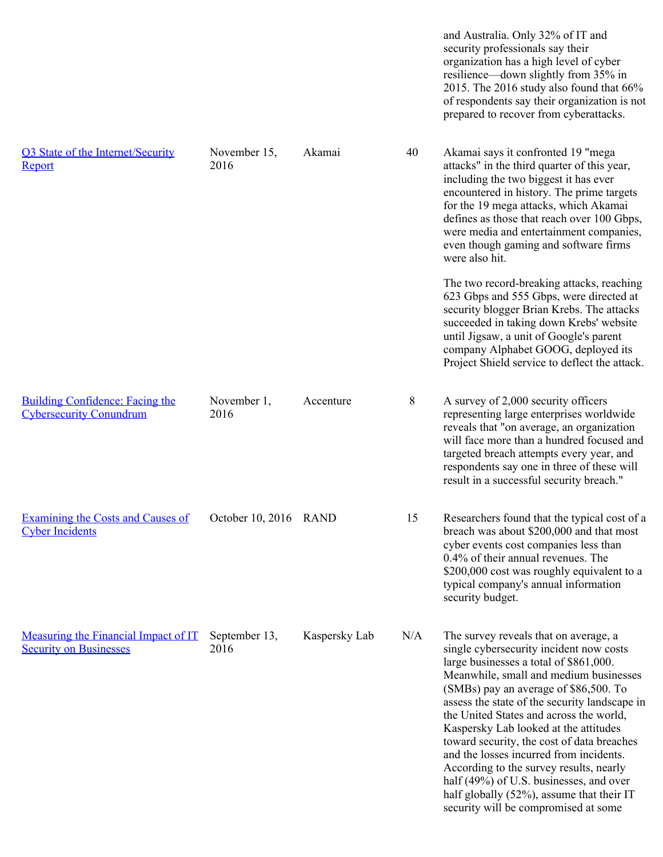and Australia. Only 32% of IT and security professionals say their organization has a high level of cyber resilience—down slightly from 35% in 2015. The 2016 study also found that 66% of respondents say their organization is not prepared to recover from cyberattacks. [Q3 State of the Internet/Security](https://www.akamai.com/us/en/multimedia/documents/state-of-the-internet/q3-2016-state-of-the-internet-security-report.pdf) [Report](https://www.akamai.com/us/en/multimedia/documents/state-of-the-internet/q3-2016-state-of-the-internet-security-report.pdf) November 15, 2016 Akamai 40 Akamai says it confronted 19 "mega attacks" in the third quarter of this year, including the two biggest it has ever encountered in history. The prime targets for the 19 mega attacks, which Akamai defines as those that reach over 100 Gbps, were media and entertainment companies, even though gaming and software firms were also hit. The two record-breaking attacks, reaching 623 Gbps and 555 Gbps, were directed at security blogger Brian Krebs. The attacks succeeded in taking down Krebs' website until Jigsaw, a unit of Google's parent company Alphabet GOOG, deployed its Project Shield service to deflect the attack. [Building Confidence: Facing the](https://www.accenture.com/us-en/insight-building-confidence-facing-cybersecurity-conundrum) [Cybersecurity Conundrum](https://www.accenture.com/us-en/insight-building-confidence-facing-cybersecurity-conundrum) November 1, 2016 Accenture 8 A survey of 2,000 security officers representing large enterprises worldwide reveals that "on average, an organization will face more than a hundred focused and targeted breach attempts every year, and respondents say one in three of these will result in a successful security breach." [Examining the Costs and Causes of](http://www.rand.org/pubs/external_publications/EP66656.html) [Cyber Incidents](http://www.rand.org/pubs/external_publications/EP66656.html) October 10, 2016 RAND 15 Researchers found that the typical cost of a breach was about \$200,000 and that most cyber events cost companies less than 0.4% of their annual revenues. The \$200,000 cost was roughly equivalent to a typical company's annual information security budget. [Measuring the Financial Impact of IT](https://usblog.kaspersky.com/security_risks_report_financial_impact/) September 13, [Security on Businesses](https://usblog.kaspersky.com/security_risks_report_financial_impact/) 2016 Kaspersky Lab N/A The survey reveals that on average, a single cybersecurity incident now costs large businesses a total of \$861,000. Meanwhile, small and medium businesses (SMBs) pay an average of \$86,500. To assess the state of the security landscape in the United States and across the world, Kaspersky Lab looked at the attitudes toward security, the cost of data breaches and the losses incurred from incidents. According to the survey results, nearly half (49%) of U.S. businesses, and over half globally (52%), assume that their IT security will be compromised at some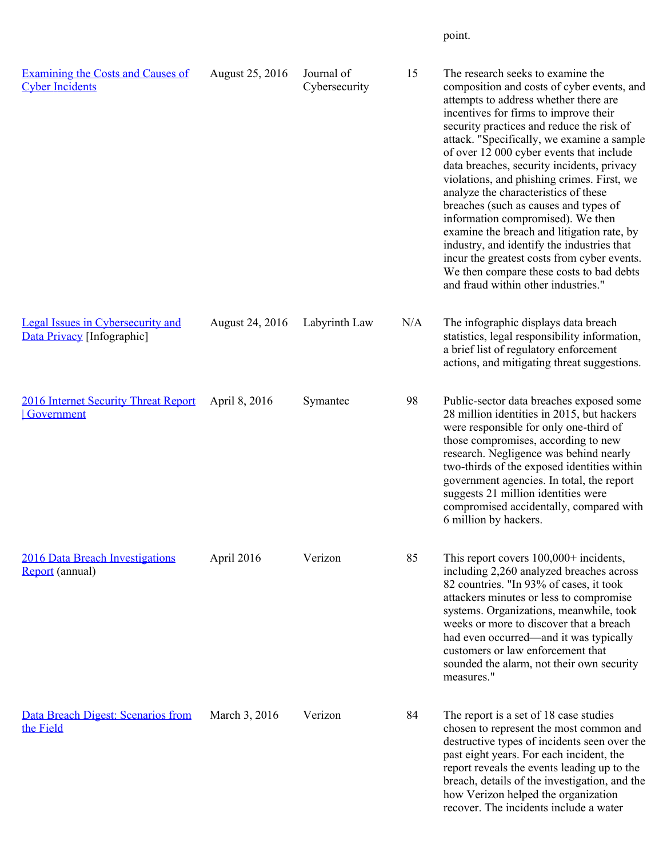point.

| <b>Examining the Costs and Causes of</b><br><b>Cyber Incidents</b>     | August 25, 2016 | Journal of<br>Cybersecurity | 15  | The research seeks to examine the<br>composition and costs of cyber events, and<br>attempts to address whether there are<br>incentives for firms to improve their<br>security practices and reduce the risk of<br>attack. "Specifically, we examine a sample<br>of over 12 000 cyber events that include<br>data breaches, security incidents, privacy<br>violations, and phishing crimes. First, we<br>analyze the characteristics of these<br>breaches (such as causes and types of<br>information compromised). We then<br>examine the breach and litigation rate, by<br>industry, and identify the industries that<br>incur the greatest costs from cyber events.<br>We then compare these costs to bad debts<br>and fraud within other industries." |
|------------------------------------------------------------------------|-----------------|-----------------------------|-----|----------------------------------------------------------------------------------------------------------------------------------------------------------------------------------------------------------------------------------------------------------------------------------------------------------------------------------------------------------------------------------------------------------------------------------------------------------------------------------------------------------------------------------------------------------------------------------------------------------------------------------------------------------------------------------------------------------------------------------------------------------|
| <b>Legal Issues in Cybersecurity and</b><br>Data Privacy [Infographic] | August 24, 2016 | Labyrinth Law               | N/A | The infographic displays data breach<br>statistics, legal responsibility information,<br>a brief list of regulatory enforcement<br>actions, and mitigating threat suggestions.                                                                                                                                                                                                                                                                                                                                                                                                                                                                                                                                                                           |
| 2016 Internet Security Threat Report<br>Government                     | April 8, 2016   | Symantec                    | 98  | Public-sector data breaches exposed some<br>28 million identities in 2015, but hackers<br>were responsible for only one-third of<br>those compromises, according to new<br>research. Negligence was behind nearly<br>two-thirds of the exposed identities within<br>government agencies. In total, the report<br>suggests 21 million identities were<br>compromised accidentally, compared with<br>6 million by hackers.                                                                                                                                                                                                                                                                                                                                 |
| 2016 Data Breach Investigations<br><b>Report</b> (annual)              | April 2016      | Verizon                     | 85  | This report covers $100,000+$ incidents,<br>including 2,260 analyzed breaches across<br>82 countries. "In 93% of cases, it took<br>attackers minutes or less to compromise<br>systems. Organizations, meanwhile, took<br>weeks or more to discover that a breach<br>had even occurred—and it was typically<br>customers or law enforcement that<br>sounded the alarm, not their own security<br>measures."                                                                                                                                                                                                                                                                                                                                               |
| Data Breach Digest: Scenarios from<br>the Field                        | March 3, 2016   | Verizon                     | 84  | The report is a set of 18 case studies<br>chosen to represent the most common and<br>destructive types of incidents seen over the<br>past eight years. For each incident, the<br>report reveals the events leading up to the<br>breach, details of the investigation, and the<br>how Verizon helped the organization<br>recover. The incidents include a water                                                                                                                                                                                                                                                                                                                                                                                           |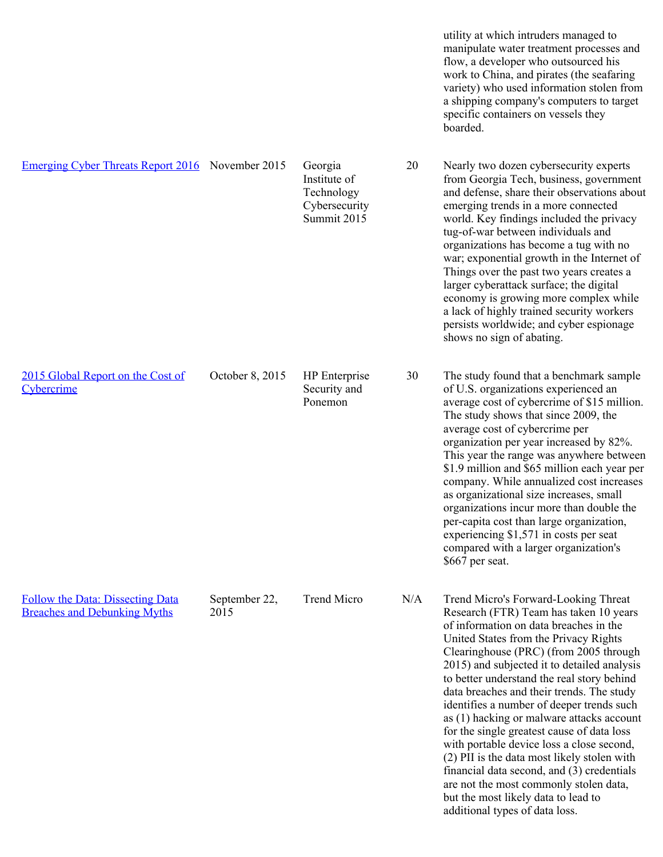utility at which intruders managed to manipulate water treatment processes and flow, a developer who outsourced his work to China, and pirates (the seafaring variety) who used information stolen from a shipping company's computers to target specific containers on vessels they boarded. [Emerging Cyber Threats Report 2016](http://www.iisp.gatech.edu/2016-emerging-cyber-threats-report) November 2015 Georgia Institute of Technology Cybersecurity Summit 2015 20 Nearly two dozen cybersecurity experts from Georgia Tech, business, government and defense, share their observations about emerging trends in a more connected world. Key findings included the privacy tug-of-war between individuals and organizations has become a tug with no war; exponential growth in the Internet of Things over the past two years creates a larger cyberattack surface; the digital economy is growing more complex while a lack of highly trained security workers persists worldwide; and cyber espionage shows no sign of abating. [2015 Global Report on the Cost of](https://ssl.www8.hp.com/us/en/ssl/leadgen/secure_document.html?objid=4AA5-5207ENW&siebelid=12503§ionid=pdf&returnurl=/ww/en/secure/pdf/4aa5-5207enw.pdf&simpletitle=enterprise%20software%20gateway%20|%20hp%20software&subbu=tsg.software&parentPageName=3.0&analytics_page_name=3.0&parentUrl=http%3A%2F%2Fwww8.hp.com/us/en/software/enterprise-software.html&compURI=1533509&fv=FLEX2%20SW3&metrics_asset_value=eb&bu=tsg&st=/us/en/software&as=software&wsi=r11374&cu=false) **[Cybercrime](https://ssl.www8.hp.com/us/en/ssl/leadgen/secure_document.html?objid=4AA5-5207ENW&siebelid=12503§ionid=pdf&returnurl=/ww/en/secure/pdf/4aa5-5207enw.pdf&simpletitle=enterprise%20software%20gateway%20|%20hp%20software&subbu=tsg.software&parentPageName=3.0&analytics_page_name=3.0&parentUrl=http%3A%2F%2Fwww8.hp.com/us/en/software/enterprise-software.html&compURI=1533509&fv=FLEX2%20SW3&metrics_asset_value=eb&bu=tsg&st=/us/en/software&as=software&wsi=r11374&cu=false)** October 8, 2015 HP Enterprise Security and Ponemon 30 The study found that a benchmark sample of U.S. organizations experienced an average cost of cybercrime of \$15 million. The study shows that since 2009, the average cost of cybercrime per organization per year increased by 82%. This year the range was anywhere between \$1.9 million and \$65 million each year per company. While annualized cost increases as organizational size increases, small organizations incur more than double the per-capita cost than large organization, experiencing \$1,571 in costs per seat compared with a larger organization's \$667 per seat. [Follow the Data: Dissecting Data](http://www.trendmicro.com/vinfo/us/security/news/cyber-attacks/follow-the-data) [Breaches and Debunking Myths](http://www.trendmicro.com/vinfo/us/security/news/cyber-attacks/follow-the-data) September 22, 2015 Trend Micro N/A Trend Micro's Forward-Looking Threat Research (FTR) Team has taken 10 years of information on data breaches in the United States from the Privacy Rights Clearinghouse (PRC) (from 2005 through 2015) and subjected it to detailed analysis to better understand the real story behind data breaches and their trends. The study identifies a number of deeper trends such as (1) hacking or malware attacks account for the single greatest cause of data loss with portable device loss a close second, (2) PII is the data most likely stolen with financial data second, and (3) credentials are not the most commonly stolen data,

> but the most likely data to lead to additional types of data loss.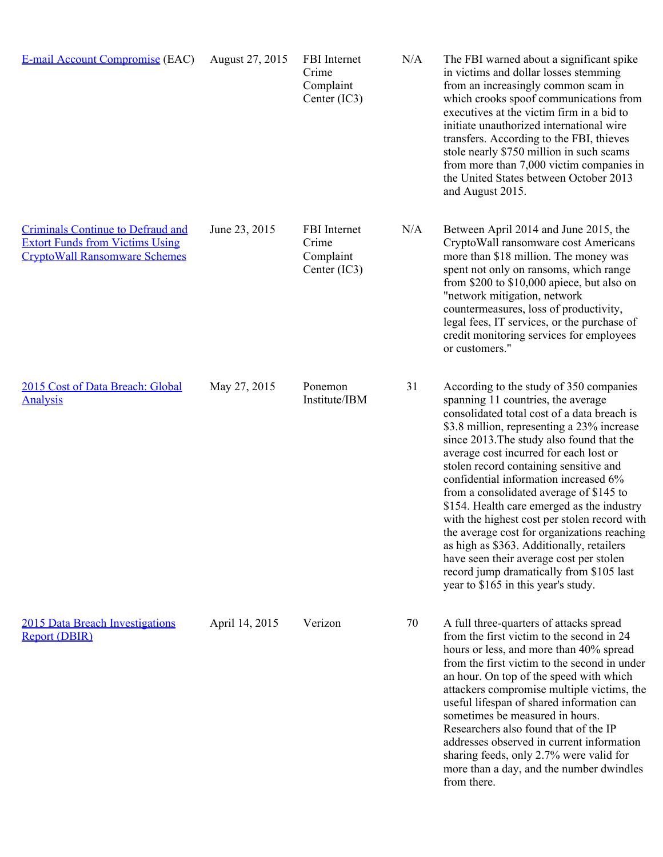| <b>E-mail Account Compromise (EAC)</b>                                                                                     | August 27, 2015 | FBI Internet<br>Crime<br>Complaint<br>Center (IC3) | N/A | The FBI warned about a significant spike<br>in victims and dollar losses stemming<br>from an increasingly common scam in<br>which crooks spoof communications from<br>executives at the victim firm in a bid to<br>initiate unauthorized international wire<br>transfers. According to the FBI, thieves<br>stole nearly \$750 million in such scams<br>from more than 7,000 victim companies in<br>the United States between October 2013<br>and August 2015.                                                                                                                                                                                                                                                           |
|----------------------------------------------------------------------------------------------------------------------------|-----------------|----------------------------------------------------|-----|-------------------------------------------------------------------------------------------------------------------------------------------------------------------------------------------------------------------------------------------------------------------------------------------------------------------------------------------------------------------------------------------------------------------------------------------------------------------------------------------------------------------------------------------------------------------------------------------------------------------------------------------------------------------------------------------------------------------------|
| <b>Criminals Continue to Defraud and</b><br><b>Extort Funds from Victims Using</b><br><b>CryptoWall Ransomware Schemes</b> | June 23, 2015   | FBI Internet<br>Crime<br>Complaint<br>Center (IC3) | N/A | Between April 2014 and June 2015, the<br>CryptoWall ransomware cost Americans<br>more than \$18 million. The money was<br>spent not only on ransoms, which range<br>from \$200 to \$10,000 apiece, but also on<br>"network mitigation, network<br>countermeasures, loss of productivity,<br>legal fees, IT services, or the purchase of<br>credit monitoring services for employees<br>or customers."                                                                                                                                                                                                                                                                                                                   |
| 2015 Cost of Data Breach: Global<br><b>Analysis</b>                                                                        | May 27, 2015    | Ponemon<br>Institute/IBM                           | 31  | According to the study of 350 companies<br>spanning 11 countries, the average<br>consolidated total cost of a data breach is<br>\$3.8 million, representing a 23% increase<br>since 2013. The study also found that the<br>average cost incurred for each lost or<br>stolen record containing sensitive and<br>confidential information increased 6%<br>from a consolidated average of \$145 to<br>\$154. Health care emerged as the industry<br>with the highest cost per stolen record with<br>the average cost for organizations reaching<br>as high as \$363. Additionally, retailers<br>have seen their average cost per stolen<br>record jump dramatically from \$105 last<br>year to \$165 in this year's study. |
| 2015 Data Breach Investigations<br><b>Report (DBIR)</b>                                                                    | April 14, 2015  | Verizon                                            | 70  | A full three-quarters of attacks spread<br>from the first victim to the second in 24<br>hours or less, and more than 40% spread<br>from the first victim to the second in under<br>an hour. On top of the speed with which<br>attackers compromise multiple victims, the<br>useful lifespan of shared information can<br>sometimes be measured in hours.<br>Researchers also found that of the IP<br>addresses observed in current information<br>sharing feeds, only 2.7% were valid for<br>more than a day, and the number dwindles<br>from there.                                                                                                                                                                    |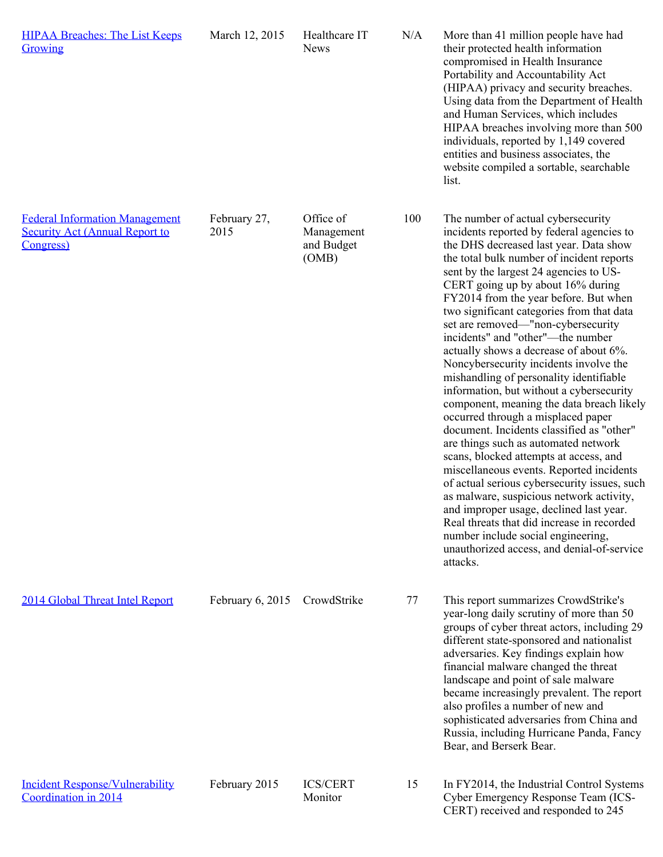| <b>HIPAA Breaches: The List Keeps</b><br>Growing                                                    | March 12, 2015       | Healthcare IT<br><b>News</b>                   | N/A | More than 41 million people have had<br>their protected health information<br>compromised in Health Insurance<br>Portability and Accountability Act<br>(HIPAA) privacy and security breaches.<br>Using data from the Department of Health<br>and Human Services, which includes<br>HIPAA breaches involving more than 500<br>individuals, reported by 1,149 covered<br>entities and business associates, the<br>website compiled a sortable, searchable<br>list.                                                                                                                                                                                                                                                                                                                                                                                                                                                                                                                                                                                                                                                                                        |
|-----------------------------------------------------------------------------------------------------|----------------------|------------------------------------------------|-----|---------------------------------------------------------------------------------------------------------------------------------------------------------------------------------------------------------------------------------------------------------------------------------------------------------------------------------------------------------------------------------------------------------------------------------------------------------------------------------------------------------------------------------------------------------------------------------------------------------------------------------------------------------------------------------------------------------------------------------------------------------------------------------------------------------------------------------------------------------------------------------------------------------------------------------------------------------------------------------------------------------------------------------------------------------------------------------------------------------------------------------------------------------|
| <b>Federal Information Management</b><br><b>Security Act (Annual Report to</b><br><b>Congress</b> ) | February 27,<br>2015 | Office of<br>Management<br>and Budget<br>(OMB) | 100 | The number of actual cybersecurity<br>incidents reported by federal agencies to<br>the DHS decreased last year. Data show<br>the total bulk number of incident reports<br>sent by the largest 24 agencies to US-<br>CERT going up by about 16% during<br>FY2014 from the year before. But when<br>two significant categories from that data<br>set are removed—"non-cybersecurity<br>incidents" and "other"--- the number<br>actually shows a decrease of about 6%.<br>Noncybersecurity incidents involve the<br>mishandling of personality identifiable<br>information, but without a cybersecurity<br>component, meaning the data breach likely<br>occurred through a misplaced paper<br>document. Incidents classified as "other"<br>are things such as automated network<br>scans, blocked attempts at access, and<br>miscellaneous events. Reported incidents<br>of actual serious cybersecurity issues, such<br>as malware, suspicious network activity,<br>and improper usage, declined last year.<br>Real threats that did increase in recorded<br>number include social engineering,<br>unauthorized access, and denial-of-service<br>attacks. |
| 2014 Global Threat Intel Report                                                                     | February $6, 2015$   | CrowdStrike                                    | 77  | This report summarizes CrowdStrike's<br>year-long daily scrutiny of more than 50<br>groups of cyber threat actors, including 29<br>different state-sponsored and nationalist<br>adversaries. Key findings explain how<br>financial malware changed the threat<br>landscape and point of sale malware<br>became increasingly prevalent. The report<br>also profiles a number of new and<br>sophisticated adversaries from China and<br>Russia, including Hurricane Panda, Fancy<br>Bear, and Berserk Bear.                                                                                                                                                                                                                                                                                                                                                                                                                                                                                                                                                                                                                                               |
| <b>Incident Response/Vulnerability</b><br>Coordination in 2014                                      | February 2015        | <b>ICS/CERT</b><br>Monitor                     | 15  | In FY2014, the Industrial Control Systems<br>Cyber Emergency Response Team (ICS-<br>CERT) received and responded to 245                                                                                                                                                                                                                                                                                                                                                                                                                                                                                                                                                                                                                                                                                                                                                                                                                                                                                                                                                                                                                                 |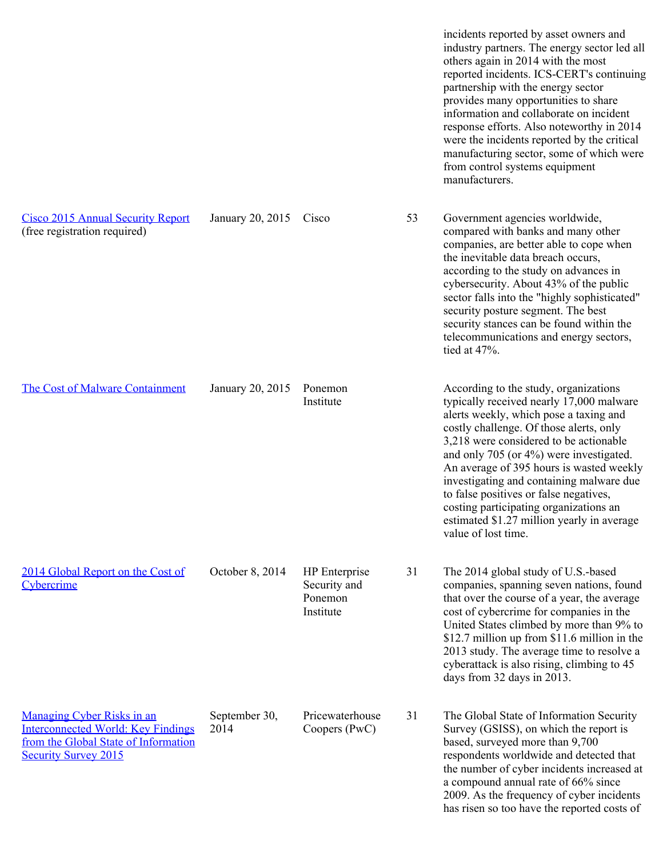incidents reported by asset owners and industry partners. The energy sector led all others again in 2014 with the most reported incidents. ICS-CERT's continuing partnership with the energy sector provides many opportunities to share information and collaborate on incident response efforts. Also noteworthy in 2014 were the incidents reported by the critical manufacturing sector, some of which were from control systems equipment manufacturers. [Cisco 2015 Annual Security Report](http://www.cisco.com/web/offers/lp/2015-annual-security-report/index.html) (free registration required) January 20, 2015 Cisco 53 Government agencies worldwide, compared with banks and many other companies, are better able to cope when the inevitable data breach occurs, according to the study on advances in cybersecurity. About 43% of the public sector falls into the "highly sophisticated" security posture segment. The best security stances can be found within the telecommunications and energy sectors, tied at 47%. [The Cost of Malware Containment](https://www.damballa.com/ponemon-survey-cost-malware-containment-2015/) January 20, 2015 Ponemon **Institute** According to the study, organizations typically received nearly 17,000 malware alerts weekly, which pose a taxing and costly challenge. Of those alerts, only 3,218 were considered to be actionable and only 705 (or 4%) were investigated. An average of 395 hours is wasted weekly investigating and containing malware due to false positives or false negatives, costing participating organizations an estimated \$1.27 million yearly in average value of lost time. [2014 Global Report on the Cost of](http://www8.hp.com/h20195/v2/getpdf.aspx/4AA5-5207ENW.pdf?ver=1.0) **[Cybercrime](http://www8.hp.com/h20195/v2/getpdf.aspx/4AA5-5207ENW.pdf?ver=1.0)** October 8, 2014 HP Enterprise Security and Ponemon Institute 31 The 2014 global study of U.S.-based companies, spanning seven nations, found that over the course of a year, the average cost of cybercrime for companies in the United States climbed by more than 9% to \$12.7 million up from \$11.6 million in the 2013 study. The average time to resolve a cyberattack is also rising, climbing to 45 days from 32 days in 2013. [Managing Cyber Risks in an](http://www.pwc.com/gx/en/consulting-services/information-security-survey/assets/the-global-state-of-information-security-survey-2015.pdf) [Interconnected World: Key Findings](http://www.pwc.com/gx/en/consulting-services/information-security-survey/assets/the-global-state-of-information-security-survey-2015.pdf) [from the Global State of Information](http://www.pwc.com/gx/en/consulting-services/information-security-survey/assets/the-global-state-of-information-security-survey-2015.pdf) [Security Survey 2015](http://www.pwc.com/gx/en/consulting-services/information-security-survey/assets/the-global-state-of-information-security-survey-2015.pdf) September 30, 2014 Pricewaterhouse Coopers (PwC) 31 The Global State of Information Security Survey (GSISS), on which the report is based, surveyed more than 9,700 respondents worldwide and detected that the number of cyber incidents increased at a compound annual rate of 66% since 2009. As the frequency of cyber incidents has risen so too have the reported costs of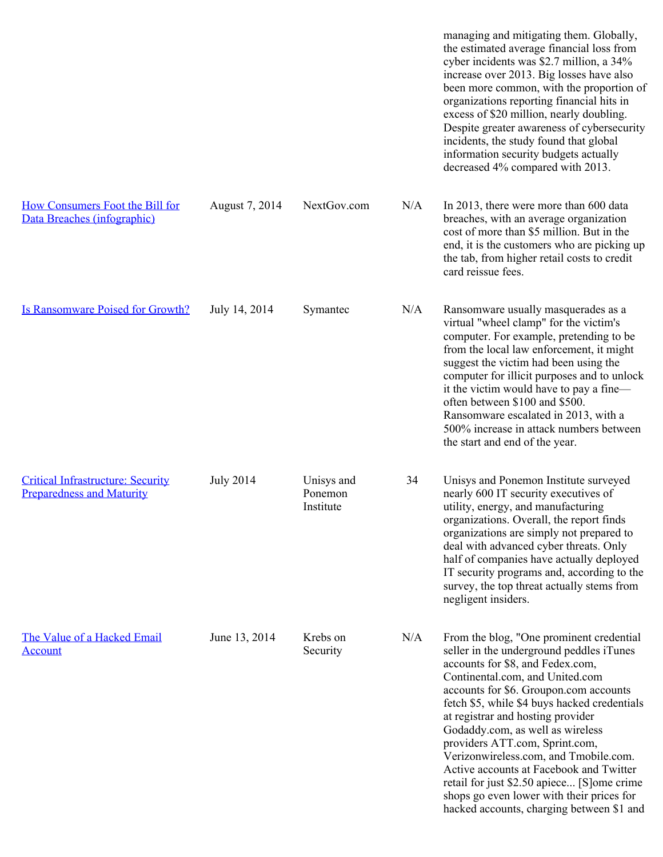|                                                                              |                  |                                    |     | managing and mitigating them. Globally,<br>the estimated average financial loss from<br>cyber incidents was \$2.7 million, a 34%<br>increase over 2013. Big losses have also<br>been more common, with the proportion of<br>organizations reporting financial hits in<br>excess of \$20 million, nearly doubling.<br>Despite greater awareness of cybersecurity<br>incidents, the study found that global<br>information security budgets actually<br>decreased 4% compared with 2013.                                                                                                       |
|------------------------------------------------------------------------------|------------------|------------------------------------|-----|----------------------------------------------------------------------------------------------------------------------------------------------------------------------------------------------------------------------------------------------------------------------------------------------------------------------------------------------------------------------------------------------------------------------------------------------------------------------------------------------------------------------------------------------------------------------------------------------|
| How Consumers Foot the Bill for<br>Data Breaches (infographic)               | August 7, 2014   | NextGov.com                        | N/A | In 2013, there were more than 600 data<br>breaches, with an average organization<br>cost of more than \$5 million. But in the<br>end, it is the customers who are picking up<br>the tab, from higher retail costs to credit<br>card reissue fees.                                                                                                                                                                                                                                                                                                                                            |
| <b>Is Ransomware Poised for Growth?</b>                                      | July 14, 2014    | Symantec                           | N/A | Ransomware usually masquerades as a<br>virtual "wheel clamp" for the victim's<br>computer. For example, pretending to be<br>from the local law enforcement, it might<br>suggest the victim had been using the<br>computer for illicit purposes and to unlock<br>it the victim would have to pay a fine—<br>often between \$100 and \$500.<br>Ransomware escalated in 2013, with a<br>500% increase in attack numbers between<br>the start and end of the year.                                                                                                                               |
| <b>Critical Infrastructure: Security</b><br><b>Preparedness and Maturity</b> | <b>July 2014</b> | Unisys and<br>Ponemon<br>Institute | 34  | Unisys and Ponemon Institute surveyed<br>nearly 600 IT security executives of<br>utility, energy, and manufacturing<br>organizations. Overall, the report finds<br>organizations are simply not prepared to<br>deal with advanced cyber threats. Only<br>half of companies have actually deployed<br>IT security programs and, according to the<br>survey, the top threat actually stems from<br>negligent insiders.                                                                                                                                                                         |
| The Value of a Hacked Email<br><b>Account</b>                                | June 13, 2014    | Krebs on<br>Security               | N/A | From the blog, "One prominent credential<br>seller in the underground peddles iTunes<br>accounts for \$8, and Fedex.com,<br>Continental.com, and United.com<br>accounts for \$6. Groupon.com accounts<br>fetch \$5, while \$4 buys hacked credentials<br>at registrar and hosting provider<br>Godaddy.com, as well as wireless<br>providers ATT.com, Sprint.com,<br>Verizonwireless.com, and Tmobile.com.<br>Active accounts at Facebook and Twitter<br>retail for just \$2.50 apiece [S]ome crime<br>shops go even lower with their prices for<br>hacked accounts, charging between \$1 and |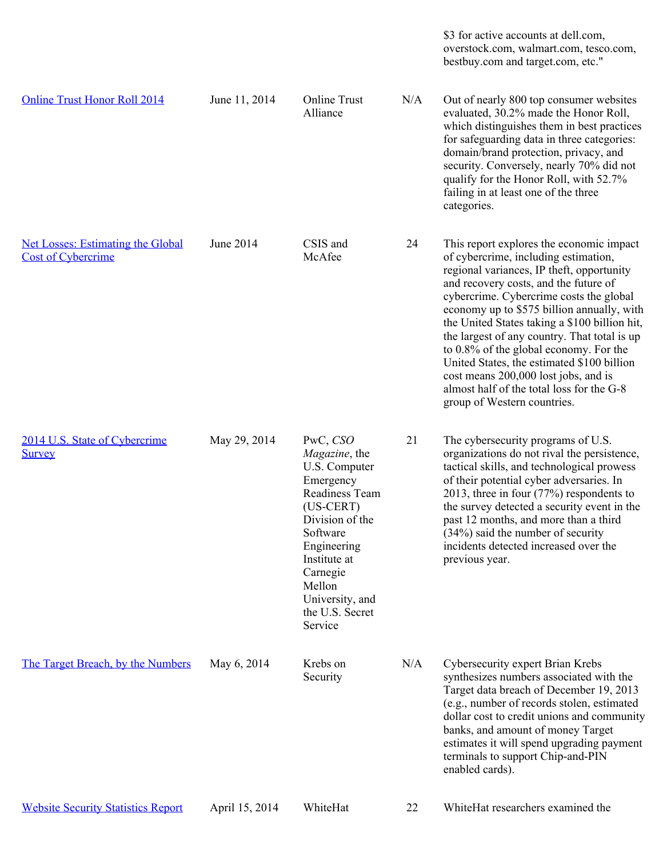\$3 for active accounts at dell.com, overstock.com, walmart.com, tesco.com, bestbuy.com and target.com, etc."

| <b>Online Trust Honor Roll 2014</b>                                   | June 11, 2014  | <b>Online Trust</b><br>Alliance                                                                                                                                                                                               | N/A | Out of nearly 800 top consumer websites<br>evaluated, 30.2% made the Honor Roll,<br>which distinguishes them in best practices<br>for safeguarding data in three categories:<br>domain/brand protection, privacy, and<br>security. Conversely, nearly 70% did not<br>qualify for the Honor Roll, with 52.7%<br>failing in at least one of the three<br>categories.                                                                                                                                                                                                           |
|-----------------------------------------------------------------------|----------------|-------------------------------------------------------------------------------------------------------------------------------------------------------------------------------------------------------------------------------|-----|------------------------------------------------------------------------------------------------------------------------------------------------------------------------------------------------------------------------------------------------------------------------------------------------------------------------------------------------------------------------------------------------------------------------------------------------------------------------------------------------------------------------------------------------------------------------------|
| <b>Net Losses: Estimating the Global</b><br><b>Cost of Cybercrime</b> | June 2014      | CSIS and<br>McAfee                                                                                                                                                                                                            | 24  | This report explores the economic impact<br>of cybercrime, including estimation,<br>regional variances, IP theft, opportunity<br>and recovery costs, and the future of<br>cybercrime. Cybercrime costs the global<br>economy up to \$575 billion annually, with<br>the United States taking a \$100 billion hit,<br>the largest of any country. That total is up<br>to 0.8% of the global economy. For the<br>United States, the estimated \$100 billion<br>cost means 200,000 lost jobs, and is<br>almost half of the total loss for the G-8<br>group of Western countries. |
| 2014 U.S. State of Cybercrime<br><b>Survey</b>                        | May 29, 2014   | PwC, CSO<br>Magazine, the<br>U.S. Computer<br>Emergency<br>Readiness Team<br>$(US-CERT)$<br>Division of the<br>Software<br>Engineering<br>Institute at<br>Carnegie<br>Mellon<br>University, and<br>the U.S. Secret<br>Service | 21  | The cybersecurity programs of U.S.<br>organizations do not rival the persistence,<br>tactical skills, and technological prowess<br>of their potential cyber adversaries. In<br>2013, three in four $(77%)$ respondents to<br>the survey detected a security event in the<br>past 12 months, and more than a third<br>$(34%)$ said the number of security<br>incidents detected increased over the<br>previous year.                                                                                                                                                          |
| The Target Breach, by the Numbers                                     | May 6, 2014    | Krebs on<br>Security                                                                                                                                                                                                          | N/A | Cybersecurity expert Brian Krebs<br>synthesizes numbers associated with the<br>Target data breach of December 19, 2013<br>(e.g., number of records stolen, estimated<br>dollar cost to credit unions and community<br>banks, and amount of money Target<br>estimates it will spend upgrading payment<br>terminals to support Chip-and-PIN<br>enabled cards).                                                                                                                                                                                                                 |
| <b>Website Security Statistics Report</b>                             | April 15, 2014 | WhiteHat                                                                                                                                                                                                                      | 22  | WhiteHat researchers examined the                                                                                                                                                                                                                                                                                                                                                                                                                                                                                                                                            |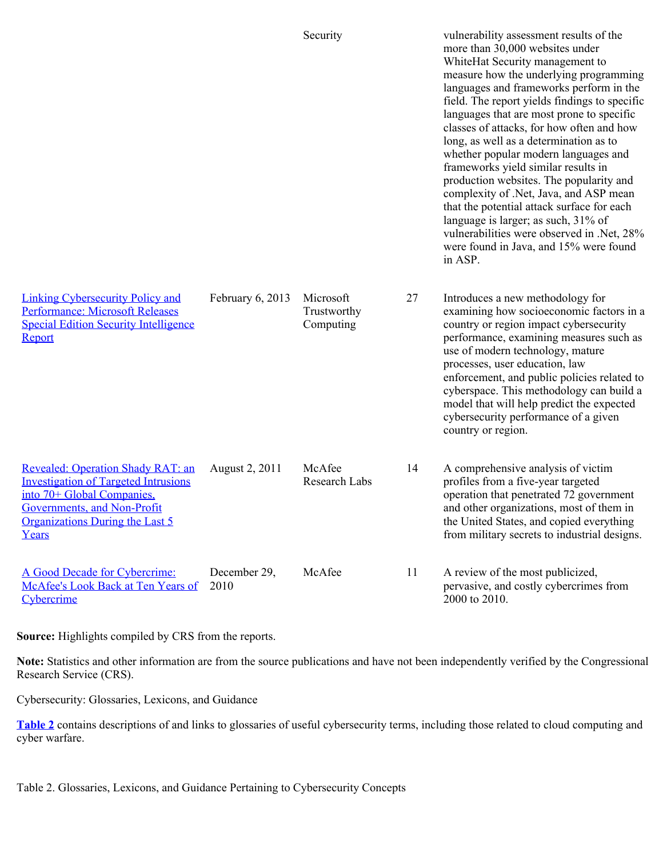|                                                                                                                                                                                           |                      | Security                              |    | vulnerability assessment results of the<br>more than 30,000 websites under<br>WhiteHat Security management to<br>measure how the underlying programming<br>languages and frameworks perform in the<br>field. The report yields findings to specific<br>languages that are most prone to specific<br>classes of attacks, for how often and how<br>long, as well as a determination as to<br>whether popular modern languages and<br>frameworks yield similar results in<br>production websites. The popularity and<br>complexity of .Net, Java, and ASP mean<br>that the potential attack surface for each<br>language is larger; as such, 31% of<br>vulnerabilities were observed in .Net, 28%<br>were found in Java, and 15% were found<br>in ASP. |
|-------------------------------------------------------------------------------------------------------------------------------------------------------------------------------------------|----------------------|---------------------------------------|----|-----------------------------------------------------------------------------------------------------------------------------------------------------------------------------------------------------------------------------------------------------------------------------------------------------------------------------------------------------------------------------------------------------------------------------------------------------------------------------------------------------------------------------------------------------------------------------------------------------------------------------------------------------------------------------------------------------------------------------------------------------|
| <b>Linking Cybersecurity Policy and</b><br><b>Performance: Microsoft Releases</b><br><b>Special Edition Security Intelligence</b><br>Report                                               | February 6, 2013     | Microsoft<br>Trustworthy<br>Computing | 27 | Introduces a new methodology for<br>examining how socioeconomic factors in a<br>country or region impact cybersecurity<br>performance, examining measures such as<br>use of modern technology, mature<br>processes, user education, law<br>enforcement, and public policies related to<br>cyberspace. This methodology can build a<br>model that will help predict the expected<br>cybersecurity performance of a given<br>country or region.                                                                                                                                                                                                                                                                                                       |
| Revealed: Operation Shady RAT: an<br><b>Investigation of Targeted Intrusions</b><br>into 70+ Global Companies.<br>Governments, and Non-Profit<br>Organizations During the Last 5<br>Years | August 2, 2011       | McAfee<br>Research Labs               | 14 | A comprehensive analysis of victim<br>profiles from a five-year targeted<br>operation that penetrated 72 government<br>and other organizations, most of them in<br>the United States, and copied everything<br>from military secrets to industrial designs.                                                                                                                                                                                                                                                                                                                                                                                                                                                                                         |
| A Good Decade for Cybercrime:<br>McAfee's Look Back at Ten Years of<br>Cybercrime                                                                                                         | December 29,<br>2010 | McAfee                                | 11 | A review of the most publicized,<br>pervasive, and costly cybercrimes from<br>2000 to 2010.                                                                                                                                                                                                                                                                                                                                                                                                                                                                                                                                                                                                                                                         |

**Source:** Highlights compiled by CRS from the reports.

**Note:** Statistics and other information are from the source publications and have not been independently verified by the Congressional Research Service (CRS).

Cybersecurity: Glossaries, Lexicons, and Guidance

**[Table 2](http://www.crs.gov/Reports/R43310?source=RRLanding#_Ref372625954)** contains descriptions of and links to glossaries of useful cybersecurity terms, including those related to cloud computing and cyber warfare.

Table 2. Glossaries, Lexicons, and Guidance Pertaining to Cybersecurity Concepts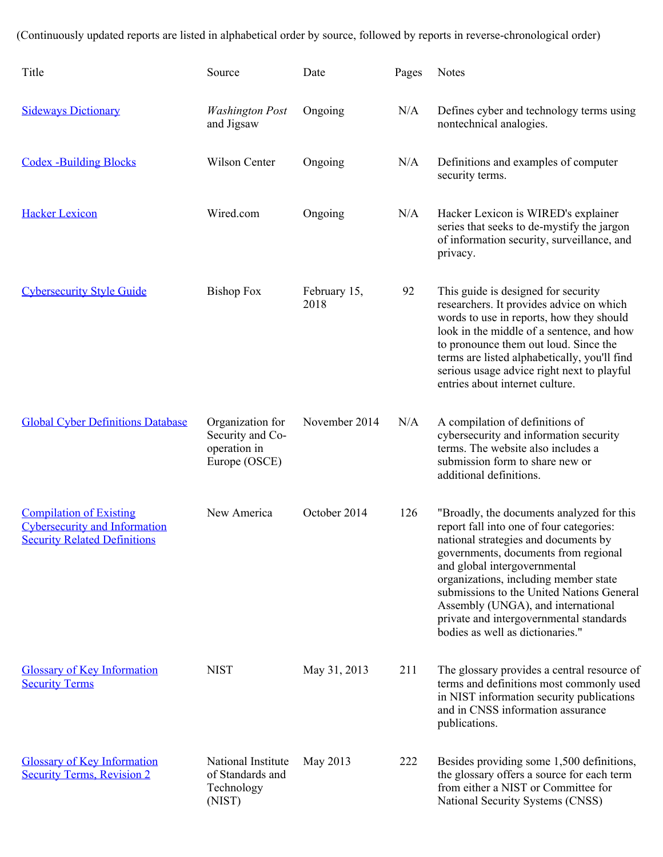(Continuously updated reports are listed in alphabetical order by source, followed by reports in reverse-chronological order)

| Title                                                                                                         | Source                                                                | Date                 | Pages | <b>Notes</b>                                                                                                                                                                                                                                                                                                                                                                                                     |
|---------------------------------------------------------------------------------------------------------------|-----------------------------------------------------------------------|----------------------|-------|------------------------------------------------------------------------------------------------------------------------------------------------------------------------------------------------------------------------------------------------------------------------------------------------------------------------------------------------------------------------------------------------------------------|
| <b>Sideways Dictionary</b>                                                                                    | <b>Washington Post</b><br>and Jigsaw                                  | Ongoing              | N/A   | Defines cyber and technology terms using<br>nontechnical analogies.                                                                                                                                                                                                                                                                                                                                              |
| <b>Codex -Building Blocks</b>                                                                                 | Wilson Center                                                         | Ongoing              | N/A   | Definitions and examples of computer<br>security terms.                                                                                                                                                                                                                                                                                                                                                          |
| <b>Hacker Lexicon</b>                                                                                         | Wired.com                                                             | Ongoing              | N/A   | Hacker Lexicon is WIRED's explainer<br>series that seeks to de-mystify the jargon<br>of information security, surveillance, and<br>privacy.                                                                                                                                                                                                                                                                      |
| <b>Cybersecurity Style Guide</b>                                                                              | <b>Bishop Fox</b>                                                     | February 15,<br>2018 | 92    | This guide is designed for security<br>researchers. It provides advice on which<br>words to use in reports, how they should<br>look in the middle of a sentence, and how<br>to pronounce them out loud. Since the<br>terms are listed alphabetically, you'll find<br>serious usage advice right next to playful<br>entries about internet culture.                                                               |
| <b>Global Cyber Definitions Database</b>                                                                      | Organization for<br>Security and Co-<br>operation in<br>Europe (OSCE) | November 2014        | N/A   | A compilation of definitions of<br>cybersecurity and information security<br>terms. The website also includes a<br>submission form to share new or<br>additional definitions.                                                                                                                                                                                                                                    |
| <b>Compilation of Existing</b><br><b>Cybersecurity and Information</b><br><b>Security Related Definitions</b> | New America                                                           | October 2014         | 126   | "Broadly, the documents analyzed for this<br>report fall into one of four categories:<br>national strategies and documents by<br>governments, documents from regional<br>and global intergovernmental<br>organizations, including member state<br>submissions to the United Nations General<br>Assembly (UNGA), and international<br>private and intergovernmental standards<br>bodies as well as dictionaries." |
| <b>Glossary of Key Information</b><br><b>Security Terms</b>                                                   | <b>NIST</b>                                                           | May 31, 2013         | 211   | The glossary provides a central resource of<br>terms and definitions most commonly used<br>in NIST information security publications<br>and in CNSS information assurance<br>publications.                                                                                                                                                                                                                       |
| <b>Glossary of Key Information</b><br><b>Security Terms, Revision 2</b>                                       | National Institute<br>of Standards and<br>Technology<br>(NIST)        | May 2013             | 222   | Besides providing some 1,500 definitions,<br>the glossary offers a source for each term<br>from either a NIST or Committee for<br>National Security Systems (CNSS)                                                                                                                                                                                                                                               |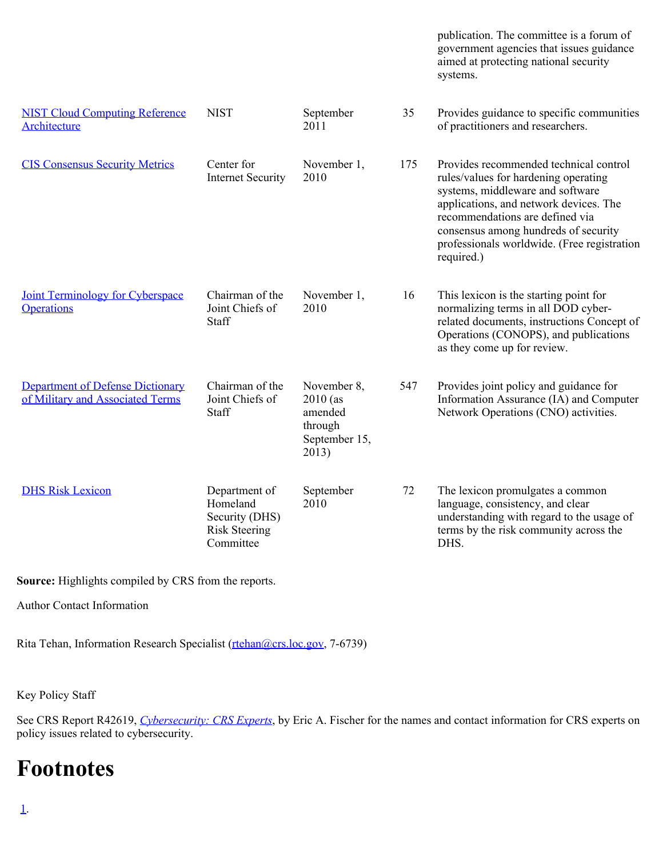|                                                                             |                                                                                  |                                                                           |     | publication. The committee is a forum of<br>government agencies that issues guidance<br>aimed at protecting national security<br>systems.                                                                                                                                                            |
|-----------------------------------------------------------------------------|----------------------------------------------------------------------------------|---------------------------------------------------------------------------|-----|------------------------------------------------------------------------------------------------------------------------------------------------------------------------------------------------------------------------------------------------------------------------------------------------------|
| <b>NIST Cloud Computing Reference</b><br>Architecture                       | <b>NIST</b>                                                                      | September<br>2011                                                         | 35  | Provides guidance to specific communities<br>of practitioners and researchers.                                                                                                                                                                                                                       |
| <b>CIS Consensus Security Metrics</b>                                       | Center for<br><b>Internet Security</b>                                           | November 1,<br>2010                                                       | 175 | Provides recommended technical control<br>rules/values for hardening operating<br>systems, middleware and software<br>applications, and network devices. The<br>recommendations are defined via<br>consensus among hundreds of security<br>professionals worldwide. (Free registration<br>required.) |
| <b>Joint Terminology for Cyberspace</b><br><b>Operations</b>                | Chairman of the<br>Joint Chiefs of<br>Staff                                      | November 1,<br>2010                                                       | 16  | This lexicon is the starting point for<br>normalizing terms in all DOD cyber-<br>related documents, instructions Concept of<br>Operations (CONOPS), and publications<br>as they come up for review.                                                                                                  |
| <b>Department of Defense Dictionary</b><br>of Military and Associated Terms | Chairman of the<br>Joint Chiefs of<br>Staff                                      | November 8,<br>$2010$ (as<br>amended<br>through<br>September 15,<br>2013) | 547 | Provides joint policy and guidance for<br>Information Assurance (IA) and Computer<br>Network Operations (CNO) activities.                                                                                                                                                                            |
| <b>DHS Risk Lexicon</b>                                                     | Department of<br>Homeland<br>Security (DHS)<br><b>Risk Steering</b><br>Committee | September<br>2010                                                         | 72  | The lexicon promulgates a common<br>language, consistency, and clear<br>understanding with regard to the usage of<br>terms by the risk community across the<br>DHS.                                                                                                                                  |

**Source:** Highlights compiled by CRS from the reports.

Author Contact Information

Rita Tehan, Information Research Specialist [\(rtehan@crs.loc.gov](mailto:rtehan@crs.loc.gov), 7-6739)

Key Policy Staff

See CRS Report R42619, *[Cybersecurity: CRS Experts](https://fas.org/sgp/crs/misc/R42619.pdf)*, by Eric A. Fischer for the names and contact information for CRS experts on policy issues related to cybersecurity.

# **Footnotes**